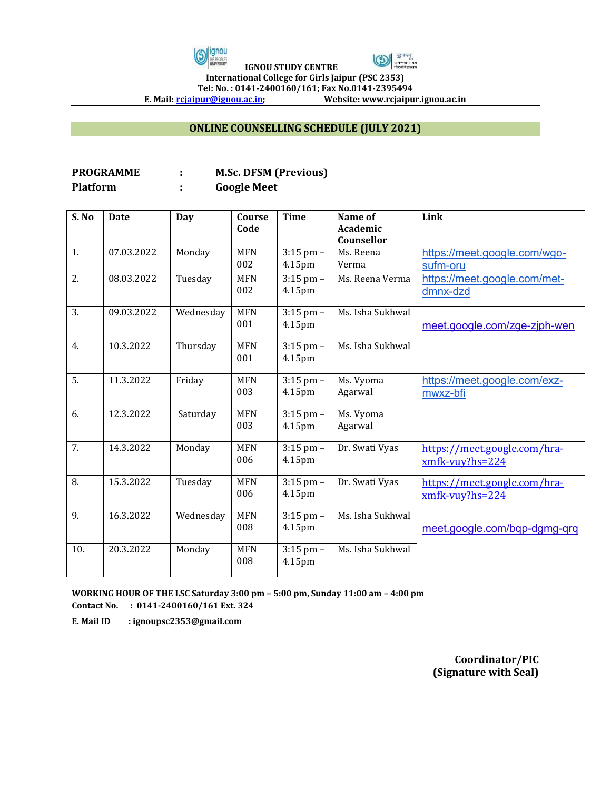



 **IGNOU STUDY CENTRE International College for Girls Jaipur (PSC 2353)**

Tel: No. : 0141-2400160/161; Fax No.0141-2395494<br>E. Mail: <u>rcjaipur@ignou.ac.in</u>; Website: www.rcjaipu

**E. Mail[: rcjaipur@ignou.ac.in;](mailto:rcjaipur@ignou.ac.in) Website: www.rcjaipur.ignou.ac.in**

## **ONLINE COUNSELLING SCHEDULE (JULY 2021)**

## **PROGRAMME : M.Sc. DFSM (Previous) Platform : Google Meet**

| S. No | <b>Date</b> | Day       | Course<br>Code    | <b>Time</b>             | Name of<br>Academic<br>Counsellor | Link                                               |
|-------|-------------|-----------|-------------------|-------------------------|-----------------------------------|----------------------------------------------------|
| 1.    | 07.03.2022  | Monday    | <b>MFN</b><br>002 | $3:15$ pm $-$<br>4.15pm | Ms. Reena<br>Verma                | https://meet.google.com/wgo-<br>sufm-oru           |
| 2.    | 08.03.2022  | Tuesday   | <b>MFN</b><br>002 | $3:15$ pm $-$<br>4.15pm | Ms. Reena Verma                   | https://meet.google.com/met-<br>dmnx-dzd           |
| 3.    | 09.03.2022  | Wednesday | <b>MFN</b><br>001 | $3:15$ pm $-$<br>4.15pm | Ms. Isha Sukhwal                  | meet.google.com/zge-zjph-wen                       |
| 4.    | 10.3.2022   | Thursday  | <b>MFN</b><br>001 | $3:15$ pm $-$<br>4.15pm | Ms. Isha Sukhwal                  |                                                    |
| 5.    | 11.3.2022   | Friday    | <b>MFN</b><br>003 | $3:15$ pm $-$<br>4.15pm | Ms. Vyoma<br>Agarwal              | https://meet.google.com/exz-<br>mwxz-bfi           |
| 6.    | 12.3.2022   | Saturday  | <b>MFN</b><br>003 | $3:15$ pm $-$<br>4.15pm | Ms. Vyoma<br>Agarwal              |                                                    |
| 7.    | 14.3.2022   | Monday    | <b>MFN</b><br>006 | $3:15$ pm $-$<br>4.15pm | Dr. Swati Vyas                    | https://meet.google.com/hra-<br>$x$ mfk-vuy?hs=224 |
| 8.    | 15.3.2022   | Tuesday   | <b>MFN</b><br>006 | $3:15$ pm $-$<br>4.15pm | Dr. Swati Vyas                    | https://meet.google.com/hra-<br>$x$ mfk-vuy?hs=224 |
| 9.    | 16.3.2022   | Wednesday | <b>MFN</b><br>008 | $3:15$ pm $-$<br>4.15pm | Ms. Isha Sukhwal                  | meet.google.com/bqp-dgmg-qrq                       |
| 10.   | 20.3.2022   | Monday    | <b>MFN</b><br>008 | $3:15$ pm $-$<br>4.15pm | Ms. Isha Sukhwal                  |                                                    |

**WORKING HOUR OF THE LSC Saturday 3:00 pm – 5:00 pm, Sunday 11:00 am – 4:00 pm Contact No. : 0141-2400160/161 Ext. 324** 

**E. Mail ID : ignoupsc2353@gmail.com** 

**Coordinator/PIC (Signature with Seal)**